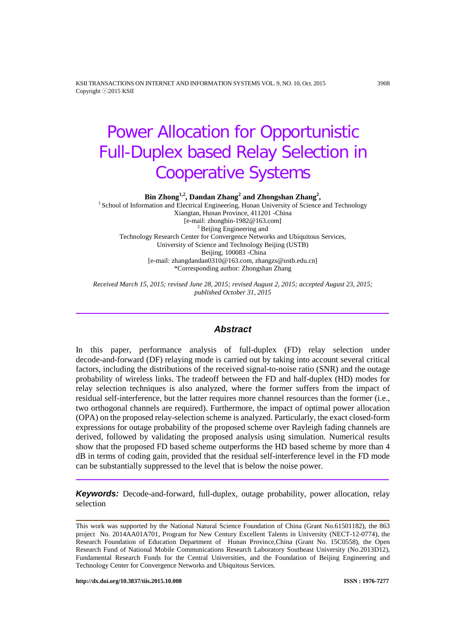KSII TRANSACTIONS ON INTERNET AND INFORMATION SYSTEMS VOL. 9, NO. 10, Oct. 2015 3908 Copyright ⓒ2015 KSII

# Power Allocation for Opportunistic Full-Duplex based Relay Selection in Cooperative Systems

**Bin Zhong<sup>1,2</sup>, Dandan Zhang<sup>2</sup> and Zhongshan Zhang<sup>2</sup>,<br><sup>1</sup> School of Information and Electrical Engineering, Hunan University of Science and Technology** Xiangtan, Hunan Province, 411201 -China  $<sup>2</sup>$  Beijing Engineering and</sup> Technology Research Center for Convergence Networks and Ubiquitous Services, University of Science and Technology Beijing (USTB) Beijing, 100083 -China [e-mail: zhangdandan0310@163.com, zhangzs@ustb.edu.cn] \*Corresponding author: Zhongshan Zhang

*Received March 15, 2015; revised June 28, 2015; revised August 2, 2015; accepted August 23, 2015; published October 31, 2015*

## *Abstract*

In this paper, performance analysis of full-duplex (FD) relay selection under decode-and-forward (DF) relaying mode is carried out by taking into account several critical factors, including the distributions of the received signal-to-noise ratio (SNR) and the outage probability of wireless links. The tradeoff between the FD and half-duplex (HD) modes for relay selection techniques is also analyzed, where the former suffers from the impact of residual self-interference, but the latter requires more channel resources than the former (i.e., two orthogonal channels are required). Furthermore, the impact of optimal power allocation (OPA) on the proposed relay-selection scheme is analyzed. Particularly, the exact closed-form expressions for outage probability of the proposed scheme over Rayleigh fading channels are derived, followed by validating the proposed analysis using simulation. Numerical results show that the proposed FD based scheme outperforms the HD based scheme by more than 4 dB in terms of coding gain, provided that the residual self-interference level in the FD mode can be substantially suppressed to the level that is below the noise power.

*Keywords:* Decode-and-forward, full-duplex, outage probability, power allocation, relay selection

This work was supported by the National Natural Science Foundation of China (Grant No.61501182), the 863 project No. 2014AA01A701, Program for New Century Excellent Talents in University (NECT-12-0774), the Research Foundation of Education Department of Hunan Province,China (Grant No. 15C0558), the Open Research Fund of National Mobile Communications Research Laboratory Southeast University (No.2013D12), Fundamental Research Funds for the Central Universities, and the Foundation of Beijing Engineering and Technology Center for Convergence Networks and Ubiquitous Services.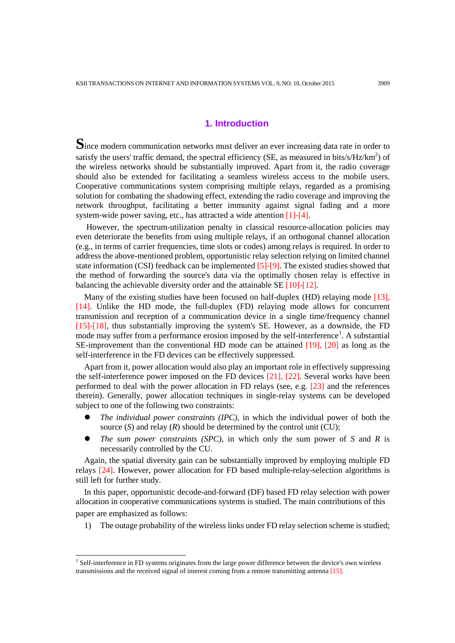## **1. Introduction**

**S**ince modern communication networks must deliver an ever increasing data rate in order to satisfy the users' traffic demand, the spectral efficiency (SE, as measured in bits/s/Hz/ $km^2$ ) of the wireless networks should be substantially improved. Apart from it, the radio coverage should also be extended for facilitating a seamless wireless access to the mobile users. Cooperative communications system comprising multiple relays, regarded as a promising solution for combating the shadowing effect, extending the radio coverage and improving the network throughput, facilitating a better immunity against signal fading and a more system-wide power saving, etc., has attracted a wide attention [1]-[4].

However, the spectrum-utilization penalty in classical resource-allocation policies may even deteriorate the benefits from using multiple relays, if an orthogonal channel allocation (e.g., in terms of carrier frequencies, time slots or codes) among relays is required. In order to address the above-mentioned problem, opportunistic relay selection relying on limited channel state information (CSI) feedback can be implemented [5]-[9]. The existed studies showed that the method of forwarding the source's data via the optimally chosen relay is effective in balancing the achievable diversity order and the attainable SE [10]-[12].

Many of the existing studies have been focused on half-duplex (HD) relaying mode [13], [14]. Unlike the HD mode, the full-duplex (FD) relaying mode allows for concurrent transmission and reception of a communication device in a single time/frequency channel [15]-[18], thus substantially improving the system's SE. However, as a downside, the FD mode may suffer from a performance erosion imposed by the self-interference<sup>[1](#page-1-0)</sup>. A substantial SE-improvement than the conventional HD mode can be attained [19], [20] as long as the self-interference in the FD devices can be effectively suppressed.

Apart from it, power allocation would also play an important role in effectively suppressing the self-interference power imposed on the FD devices [21], [22]. Several works have been performed to deal with the power allocation in FD relays (see, e.g. [23] and the references therein). Generally, power allocation techniques in single-relay systems can be developed subject to one of the following two constraints:

- *The individual power constraints (IPC)*, in which the individual power of both the source  $(S)$  and relay  $(R)$  should be determined by the control unit  $(CU)$ ;
- *The sum power constraints (SPC)*, in which only the sum power of *S* and *R* is necessarily controlled by the CU.

Again, the spatial diversity gain can be substantially improved by employing multiple FD relays [24]. However, power allocation for FD based multiple-relay-selection algorithms is still left for further study.

In this paper, opportunistic decode-and-forward (DF) based FD relay selection with power allocation in cooperative communications systems is studied. The main contributions of this paper are emphasized as follows:

1) The outage probability of the wireless links under FD relay selection scheme is studied;

j

<span id="page-1-0"></span><sup>&</sup>lt;sup>1</sup> Self-interference in FD systems originates from the large power difference between the device's own wireless transmissions and the received signal of interest coming from a remote transmitting antenna [15].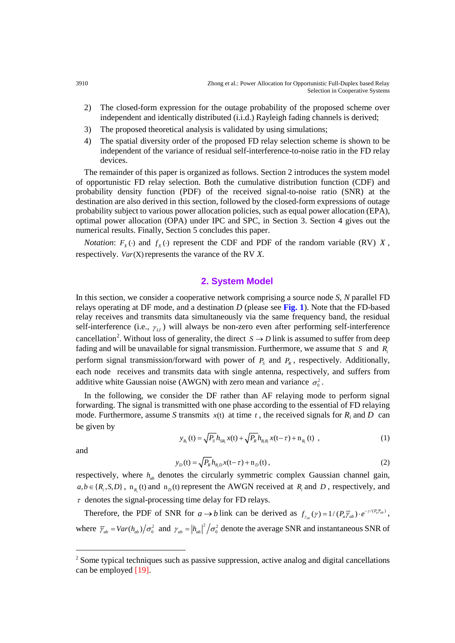- 2) The closed-form expression for the outage probability of the proposed scheme over independent and identically distributed (i.i.d.) Rayleigh fading channels is derived;
- 3) The proposed theoretical analysis is validated by using simulations;
- 4) The spatial diversity order of the proposed FD relay selection scheme is shown to be independent of the variance of residual self-interference-to-noise ratio in the FD relay devices.

The remainder of this paper is organized as follows. Section 2 introduces the system model of opportunistic FD relay selection. Both the cumulative distribution function (CDF) and probability density function (PDF) of the received signal-to-noise ratio (SNR) at the destination are also derived in this section, followed by the closed-form expressions of outage probability subject to various power allocation policies, such as equal power allocation (EPA), optimal power allocation (OPA) under IPC and SPC, in Section 3. Section 4 gives out the numerical results. Finally, Section 5 concludes this paper.

*Notation*:  $F_X(\cdot)$  and  $f_X(\cdot)$  represent the CDF and PDF of the random variable (RV) *X*, respectively. *Var*(X) represents the varance of the RV *X*.

## **2. System Model**

In this section, we consider a cooperative network comprising a source node *S*, *N* parallel FD relays operating at DF mode, and a destination *D* (please see **Fig. 1**). Note that the FD-based relay receives and transmits data simultaneously via the same frequency band, the residual self-interference (i.e.,  $\gamma_{\mu}$ ) will always be non-zero even after performing self-interference cancellation<sup>[2](#page-2-0)</sup>. Without loss of generality, the direct  $S \rightarrow D$  link is assumed to suffer from deep fading and will be unavailable for signal transmission. Furthermore, we assume that *S* and *Ri* perform signal transmission/forward with power of  $P<sub>s</sub>$  and  $P<sub>R</sub>$ , respectively. Additionally, each node receives and transmits data with single antenna, respectively, and suffers from additive white Gaussian noise (AWGN) with zero mean and variance  $\sigma_0^2$ .

In the following, we consider the DF rather than AF relaying mode to perform signal forwarding. The signal is transmitted with one phase according to the essential of FD relaying mode. Furthermore, assume *S* transmits  $x(t)$  at time  $t$ , the received signals for  $R_i$  and  $D$  can be given by

$$
y_{R_i}(t) = \sqrt{P_s} h_{SR_i} x(t) + \sqrt{P_R} h_{R_i R_i} x(t-\tau) + n_{R_i}(t) , \qquad (1)
$$

and

-

$$
y_D(t) = \sqrt{P_R} h_{R,D} x(t - \tau) + n_D(t),
$$
\n(2)

respectively, where  $h_{ab}$  denotes the circularly symmetric complex Gaussian channel gain,  $a,b \in \{R_i, S, D\}$ ,  $n_R(t)$  and  $n_p(t)$  represent the AWGN received at  $R_i$  and  $D$ , respectively, and  $\tau$  denotes the signal-processing time delay for FD relays.

Therefore, the PDF of SNR for  $a \to b$  link can be derived as  $f_{\gamma_{ab}}(\gamma) = 1/(P_a \overline{\gamma}_{ab}) \cdot e^{-\gamma/(P_a \overline{\gamma}_{ab})}$  $f_{\gamma_{ab}}(\gamma) = 1 / (P_a \overline{\gamma}_{ab}) \cdot e^{-\gamma/(P_a \overline{\gamma}_{ab})}$ where  $\bar{\gamma}_{ab} = Var(h_{ab})/\sigma_0^2$  and  $\gamma_{ab} = |h_{ab}|^2/\sigma_0^2$  denote the average SNR and instantaneous SNR of

<span id="page-2-0"></span><sup>&</sup>lt;sup>2</sup> Some typical techniques such as passive suppression, active analog and digital cancellations can be employed [19].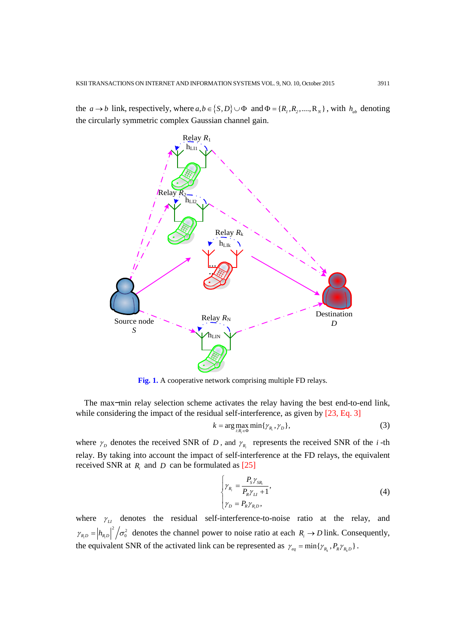the  $a \rightarrow b$  link, respectively, where  $a, b \in \{S, D\} \cup \Phi$  and  $\Phi = \{R_1, R_2, \dots, R_N\}$ , with  $h_{ab}$  denoting the circularly symmetric complex Gaussian channel gain.



**Fig. 1.** A cooperative network comprising multiple FD relays.

The max−min relay selection scheme activates the relay having the best end-to-end link, while considering the impact of the residual self-interference, as given by [23, Eq. 3]

$$
k = \arg\max_{i: R_i \in \Phi} \min\{\gamma_{R_i}, \gamma_D\},\tag{3}
$$

where  $\gamma_D$  denotes the received SNR of *D*, and  $\gamma_{R_i}$  represents the received SNR of the *i*-th relay. By taking into account the impact of self-interference at the FD relays, the equivalent received SNR at  $R_i$  and  $D$  can be formulated as  $[25]$ 

$$
\begin{cases}\n\gamma_{R_i} = \frac{P_S \gamma_{SR_i}}{P_R \gamma_{LI} + 1}, \\
\gamma_D = P_R \gamma_{R,D},\n\end{cases}
$$
\n(4)

where  $\gamma_{\mu}$  denotes the residual self-interference-to-noise ratio at the relay, and  $\gamma_{R,D} = |h_{R,D}|^2 / \sigma_0^2$  denotes the channel power to noise ratio at each  $R_i \to D$  link. Consequently, the equivalent SNR of the activated link can be represented as  $\gamma_{eq} = \min\{\gamma_{R_k}, P_R \gamma_{R_k D}\}\.$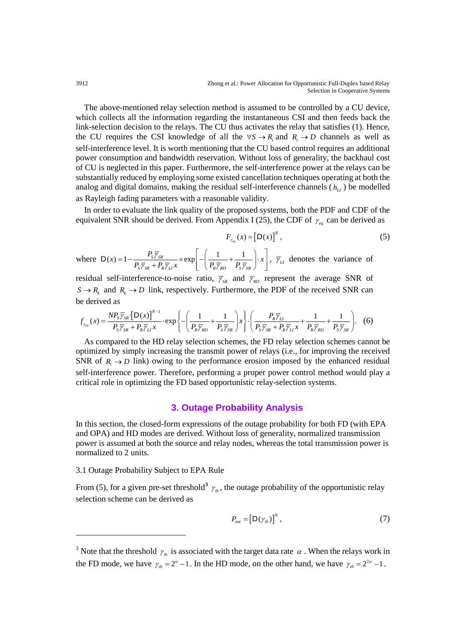The above-mentioned relay selection method is assumed to be controlled by a CU device, which collects all the information regarding the instantaneous CSI and then feeds back the link-selection decision to the relays. The CU thus activates the relay that satisfies (1). Hence, the CU requires the CSI knowledge of all the  $\forall S \rightarrow R$  and  $R_i \rightarrow D$  channels as well as self-interference level. It is worth mentioning that the CU based control requires an additional power consumption and bandwidth reservation. Without loss of generality, the backhaul cost of CU is neglected in this paper. Furthermore, the self-interference power at the relays can be substantially reduced by employing some existed cancellation techniques operating at both the analog and digital domains, making the residual self-interference channels  $(h_{\mu})$  be modelled as Rayleigh fading parameters with a reasonable validity.

In order to evaluate the link quality of the proposed systems, both the PDF and CDF of the equivalent SNR should be derived. From Appendix I (25), the CDF of  $\gamma_{eq}$  can be derived as

$$
F_{\gamma_{eq}}(x) = \left[D(x)\right]^N,\tag{5}
$$

where  $D(x) = 1 - {P_s \overline{\gamma}_{SR}} \times \exp \left[-\left({1 \over {D_s - 1} + {1 \over {D_s - 1}}} \right)$  $S / SR$   $R / L^{\infty}$   $\left[ \begin{array}{cc} \nR / RD & \nR / SR \n\end{array} \right]$  $f(x) = 1 - \frac{P_{S}\overline{\gamma}_{SR}}{P_{S}\overline{\gamma}_{SR} + P_{R}\overline{\gamma}_{LI}x} \times \exp\left[-\left(\frac{1}{P_{R}\overline{\gamma}_{RD}} + \frac{1}{P_{S}\overline{\gamma}_{SR}}\right) \cdot x\right]$ γ  $\gamma_{SR} + F_R \gamma_{LI} x$  |  $\langle F_R \gamma_{RD} F_S \gamma$  $D(x) = 1 - \frac{P_{S} \overline{\gamma}_{SR}}{P_{S} \overline{\gamma}_{SR} + P_{R} \overline{\gamma}_{LI} x} \times \exp\left[-\left(\frac{1}{P_{R} \overline{\gamma}_{RD}} + \frac{1}{P_{S} \overline{\gamma}_{SR}}\right) \cdot x\right], \overline{\gamma}_{LI}$  denotes the variance of

residual self-interference-to-noise ratio,  $\bar{y}_{SR}$  and  $\bar{y}_{RD}$  represent the average SNR of  $S \rightarrow R_k$  and  $R_k \rightarrow D$  link, respectively. Furthermore, the PDF of the received SNR can be derived as

$$
f_{\gamma_{eq}}(x) = \frac{NP_{S}\overline{\gamma}_{SR} \left\{D(x)\right\}^{N-1}}{P_{S}\overline{\gamma}_{SR} + P_{R}\overline{\gamma}_{LI} x} \cdot \exp\left\{-\left(\frac{1}{P_{R}\overline{\gamma}_{RD}} + \frac{1}{P_{S}\overline{\gamma}_{SR}}\right) x\right\} \cdot \left(\frac{P_{R}\overline{\gamma}_{LI}}{P_{S}\overline{\gamma}_{SR} + P_{R}\overline{\gamma}_{LI} x} + \frac{1}{P_{R}\overline{\gamma}_{RD}} + \frac{1}{P_{S}\overline{\gamma}_{SR}}\right). (6)
$$

As compared to the HD relay selection schemes, the FD relay selection schemes cannot be optimized by simply increasing the transmit power of relays (i.e., for improving the received SNR of  $R_i \rightarrow D$  link) owing to the performance erosion imposed by the enhanced residual self-interference power. Therefore, performing a proper power control method would play a critical role in optimizing the FD based opportunistic relay-selection systems.

## **3. Outage Probability Analysis**

In this section, the closed-form expressions of the outage probability for both FD (with EPA and OPA) and HD modes are derived. Without loss of generality, normalized transmission power is assumed at both the source and relay nodes, whereas the total transmission power is normalized to 2 units.

#### 3.1 Outage Probability Subject to EPA Rule

-

From (5), for a given pre-set threshold<sup>[3](#page-4-0)</sup>  $\gamma$ <sub>*th*</sub>, the outage probability of the opportunistic relay selection scheme can be derived as

$$
P_{out} = \left[ \mathbf{D}(\gamma_{th}) \right]^N, \tag{7}
$$

<span id="page-4-0"></span><sup>&</sup>lt;sup>3</sup> Note that the threshold  $\gamma_{th}$  is associated with the target data rate  $\alpha$ . When the relays work in the FD mode, we have  $\gamma_{th} = 2^{\alpha} - 1$ . In the HD mode, on the other hand, we have  $\gamma_{th} = 2^{2\alpha} - 1$ .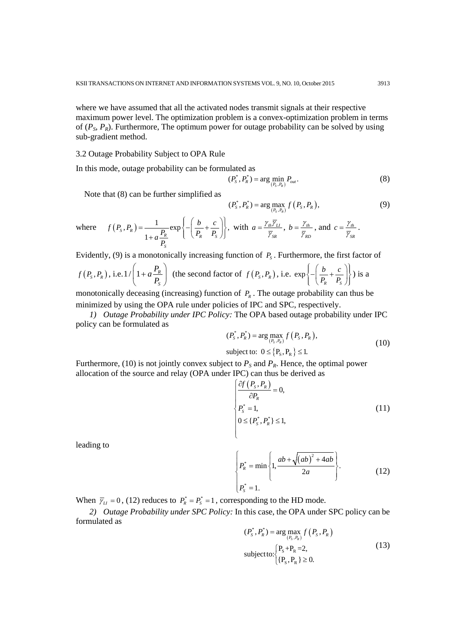where we have assumed that all the activated nodes transmit signals at their respective maximum power level. The optimization problem is a convex-optimization problem in terms of  $(P_S, P_R)$ . Furthermore, The optimum power for outage probability can be solved by using sub-gradient method.

#### 3.2 Outage Probability Subject to OPA Rule

In this mode, outage probability can be formulated as

$$
(P_s^*, P_R^*) = \arg\min_{(P_s, P_R)} P_{out}.
$$
 (8)

Note that (8) can be further simplified as

$$
(P_s^*, P_R^*) = \arg \max_{(P_s, P_R)} f(P_s, P_R),
$$
\n(9)

where 
$$
f(P_s, P_R) = \frac{1}{1 + a\frac{P_R}{P_S}} \exp\left\{-\left(\frac{b}{P_R} + \frac{c}{P_S}\right)\right\}
$$
, with  $a = \frac{\gamma_{th}\overline{\gamma}_{LI}}{\overline{\gamma}_{SR}}$ ,  $b = \frac{\gamma_{th}}{\overline{\gamma}_{RD}}$ , and  $c = \frac{\gamma_{th}}{\overline{\gamma}_{SR}}$ .

Evidently, (9) is a monotonically increasing function of  $P<sub>s</sub>$ . Furthermore, the first factor of

$$
f(P_s, P_R)
$$
, i.e.  $1/\left(1 + a\frac{P_R}{P_S}\right)$  (the second factor of  $f(P_s, P_R)$ , i.e.  $\exp\left\{-\left(\frac{b}{P_R} + \frac{c}{P_S}\right)\right\}$ ) is a

monotonically deceasing (increasing) function of  $P_R$ . The outage probability can thus be minimized by using the OPA rule under policies of IPC and SPC, respectively.

*1) Outage Probability under IPC Policy:* The OPA based outage probability under IPC policy can be formulated as

$$
(P_s^*, P_R^*) = \arg\max_{(P_S, P_R)} f(P_S, P_R),
$$
  
subject to:  $0 \le \{P_S, P_R\} \le 1.$  (10)

Furthermore, (10) is not jointly convex subject to  $P<sub>S</sub>$  and  $P<sub>R</sub>$ . Hence, the optimal power allocation of the source and relay (OPA under IPC) can thus be derived as

$$
\begin{cases}\n\frac{\partial f(P_s, P_R)}{\partial P_R} = 0, \\
P_s^* = 1, \\
0 \leq \{P_s^*, P_R^*\} \leq 1,\n\end{cases} \tag{11}
$$

leading to

$$
\begin{cases} P_R^* = \min\left\{1, \frac{ab + \sqrt{(ab)^2 + 4ab}}{2a}\right\} \\ P_S^* = 1. \end{cases}
$$
 (12)

When  $\overline{\gamma}_{\mu} = 0$ , (12) reduces to  $P_{R}^{*} = P_{S}^{*} = 1$ , corresponding to the HD mode.

*2) Outage Probability under SPC Policy:* In this case, the OPA under SPC policy can be formulated as

$$
(P_s^*, P_R^*) = \arg\max_{(P_S, P_R)} f(P_S, P_R)
$$
  
subject to: 
$$
\begin{cases} P_S + P_R = 2, \\ \{P_S, P_R\} \ge 0. \end{cases}
$$
 (13)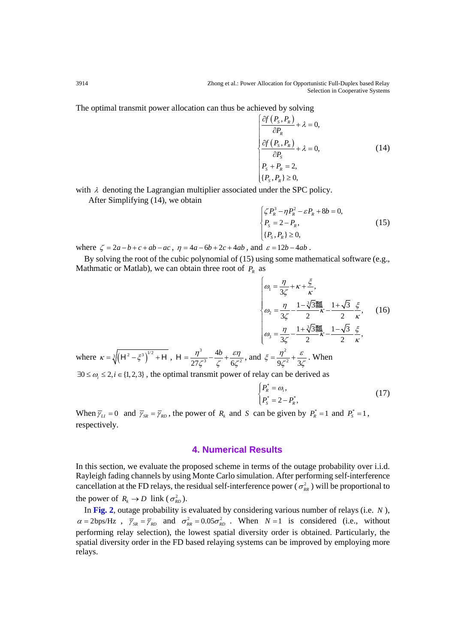The optimal transmit power allocation can thus be achieved by solving

$$
\begin{cases}\n\frac{\partial f(P_s, P_R)}{\partial P_R} + \lambda = 0, \\
\frac{\partial f(P_s, P_R)}{\partial P_S} + \lambda = 0, \\
P_s + P_R = 2, \\
\{P_s, P_R\} \ge 0,\n\end{cases}
$$
\n(14)

with  $\lambda$  denoting the Lagrangian multiplier associated under the SPC policy.

After Simplifying (14), we obtain

$$
\begin{cases} \zeta P_k^3 - \eta P_k^2 - \varepsilon P_k + 8b = 0, \\ P_s = 2 - P_k, \\ \{P_s, P_k\} \ge 0, \end{cases}
$$
 (15)

where  $\zeta = 2a - b + c + ab - ac$ ,  $\eta = 4a - 6b + 2c + 4ab$ , and  $\varepsilon = 12b - 4ab$ .

By solving the root of the cubic polynomial of (15) using some mathematical software (e.g., Mathmatic or Matlab), we can obtain three root of  $P_R$  as

$$
\begin{cases}\n\omega_{1} = \frac{\eta}{3\zeta} + \kappa + \frac{\xi}{\kappa}, \\
\omega_{2} = \frac{\eta}{3\zeta} - \frac{1 - \sqrt[3]{3}}{2}\frac{\pi}{\kappa} - \frac{1 + \sqrt{3}}{2}\frac{\xi}{\kappa}, \\
\omega_{3} = \frac{\eta}{3\zeta} - \frac{1 + \sqrt[3]{3}}{2}\frac{\pi}{\kappa} - \frac{1 - \sqrt{3}}{2}\frac{\xi}{\kappa},\n\end{cases}
$$
\n(16)  
\nwhere  $\kappa = \sqrt[3]{\left(H^{2} - \xi^{3}\right)^{1/2} + H}$ ,  $H = \frac{\eta^{3}}{27\zeta^{3}} - \frac{4b}{\zeta} + \frac{\varepsilon\eta}{6\zeta^{2}}$ , and  $\xi = \frac{\eta^{2}}{9\zeta^{2}} + \frac{\varepsilon}{3\zeta}$ . When

 $27\zeta^3$   $\zeta$  6  $\exists 0 \le \omega_i \le 2, i \in \{1,2,3\}$ , the optimal transmit power of relay can be derived as

$$
\begin{cases}\nP_R^* = \omega_i, \\
P_S^* = 2 - P_R^*,\n\end{cases} \tag{17}
$$

When  $\overline{\gamma}_{LI} = 0$  and  $\overline{\gamma}_{SR} = \overline{\gamma}_{RD}$ , the power of  $R_k$  and *S* can be given by  $P_k^* = 1$  and  $P_s^* = 1$ , respectively.

## **4. Numerical Results**

In this section, we evaluate the proposed scheme in terms of the outage probability over i.i.d. Rayleigh fading channels by using Monte Carlo simulation. After performing self-interference cancellation at the FD relays, the residual self-interference power ( $\sigma_{RR}^2$ ) will be proportional to the power of  $R_k \to D$  link ( $\sigma_{RD}^2$ ).

In **Fig. 2**, outage probability is evaluated by considering various number of relays (i.e. *N* ),  $\alpha = 2bps/Hz$ ,  $\overline{\gamma}_{SR} = \overline{\gamma}_{RD}$  and  $\sigma_{RR}^2 = 0.05\sigma_{RD}^2$ . When  $N=1$  is considered (i.e., without performing relay selection), the lowest spatial diversity order is obtained. Particularly, the spatial diversity order in the FD based relaying systems can be improved by employing more relays.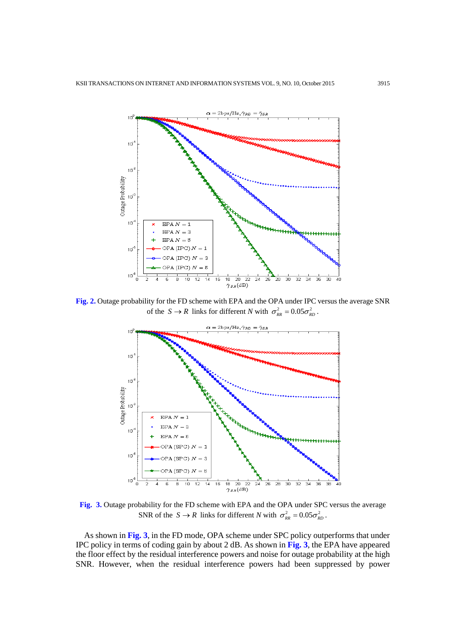

**Fig. 2.** Outage probability for the FD scheme with EPA and the OPA under IPC versus the average SNR of the  $S \to R$  links for different *N* with  $\sigma_{RR}^2 = 0.05 \sigma_{RD}^2$ .



**Fig. 3.** Outage probability for the FD scheme with EPA and the OPA under SPC versus the average SNR of the  $S \to R$  links for different *N* with  $\sigma_{RR}^2 = 0.05 \sigma_{RD}^2$ .

As shown in **Fig. 3**, in the FD mode, OPA scheme under SPC policy outperforms that under IPC policy in terms of coding gain by about 2 dB. As shown in **Fig. 3**, the EPA have appeared the floor effect by the residual interference powers and noise for outage probability at the high SNR. However, when the residual interference powers had been suppressed by power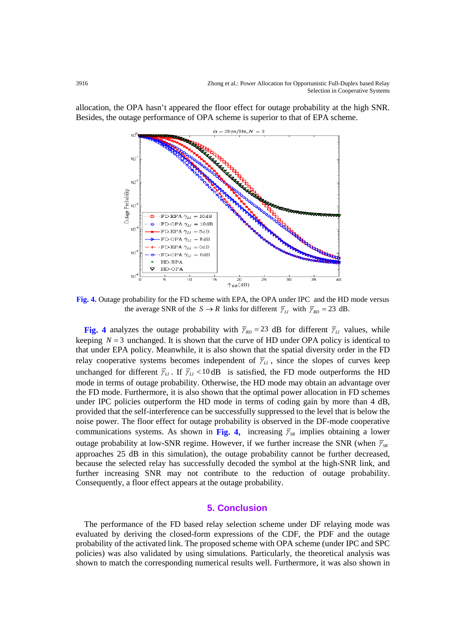allocation, the OPA hasn't appeared the floor effect for outage probability at the high SNR. Besides, the outage performance of OPA scheme is superior to that of EPA scheme.



**Fig. 4.** Outage probability for the FD scheme with EPA, the OPA under IPC and the HD mode versus the average SNR of the  $S \to R$  links for different  $\overline{\gamma}_{LI}$  with  $\overline{\gamma}_{RD} = 23$  dB.

**Fig.** 4 analyzes the outage probability with  $\overline{\gamma}_{RD} = 23$  dB for different  $\overline{\gamma}_{LI}$  values, while keeping  $N = 3$  unchanged. It is shown that the curve of HD under OPA policy is identical to that under EPA policy. Meanwhile, it is also shown that the spatial diversity order in the FD relay cooperative systems becomes independent of  $\bar{\gamma}_{\mu}$ , since the slopes of curves keep unchanged for different  $\overline{\gamma}_{\mu}$ . If  $\overline{\gamma}_{\mu}$  < 10 dB is satisfied, the FD mode outperforms the HD mode in terms of outage probability. Otherwise, the HD mode may obtain an advantage over the FD mode. Furthermore, it is also shown that the optimal power allocation in FD schemes under IPC policies outperform the HD mode in terms of coding gain by more than 4 dB, provided that the self-interference can be successfully suppressed to the level that is below the noise power. The floor effect for outage probability is observed in the DF-mode cooperative communications systems. As shown in Fig. 4, increasing  $\bar{Y}_{SR}$  implies obtaining a lower outage probability at low-SNR regime. However, if we further increase the SNR (when  $\bar{Y}_{SR}$ approaches 25 dB in this simulation), the outage probability cannot be further decreased, because the selected relay has successfully decoded the symbol at the high-SNR link, and further increasing SNR may not contribute to the reduction of outage probability. Consequently, a floor effect appears at the outage probability.

## **5. Conclusion**

The performance of the FD based relay selection scheme under DF relaying mode was evaluated by deriving the closed-form expressions of the CDF, the PDF and the outage probability of the activated link. The proposed scheme with OPA scheme (under IPC and SPC policies) was also validated by using simulations. Particularly, the theoretical analysis was shown to match the corresponding numerical results well. Furthermore, it was also shown in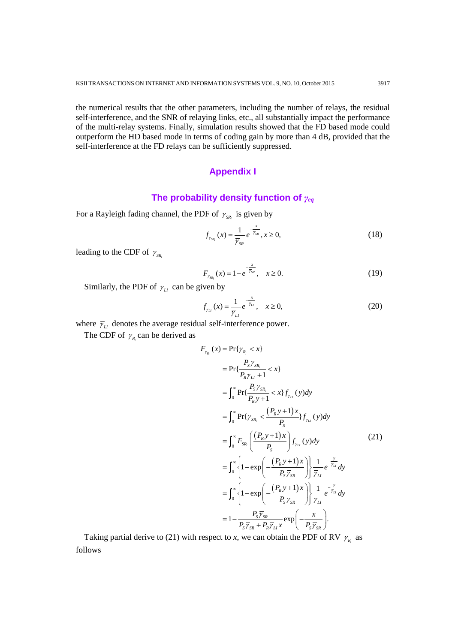the numerical results that the other parameters, including the number of relays, the residual self-interference, and the SNR of relaying links, etc., all substantially impact the performance of the multi-relay systems. Finally, simulation results showed that the FD based mode could outperform the HD based mode in terms of coding gain by more than 4 dB, provided that the self-interference at the FD relays can be sufficiently suppressed.

## **Appendix I**

## **The probability density function of** *γeq*

*x*

For a Rayleigh fading channel, the PDF of  $\gamma_{SR_i}$  is given by

$$
f_{\gamma_{SR_i}}(x) = \frac{1}{\overline{\gamma}_{SR}} e^{-\frac{x}{\overline{\gamma}_{SR}}}, x \ge 0,
$$
 (18)

leading to the CDF of  $\gamma_{SR}$ 

$$
F_{\gamma_{SR_i}}(x) = 1 - e^{-\frac{x}{\overline{\gamma}_{SR}}}, \quad x \ge 0.
$$
 (19)

Similarly, the PDF of  $\gamma_{\scriptscriptstyle L\!I}$  can be given by

$$
f_{\gamma_{\scriptscriptstyle L}}(x) = \frac{1}{\overline{\gamma}_{\scriptscriptstyle L}} e^{-\frac{x}{\overline{\gamma}_{\scriptscriptstyle L}}}, \quad x \ge 0,
$$
\n<sup>(20)</sup>

where  $\bar{\gamma}_{\mu}$  denotes the average residual self-interference power.

The CDF of  $\gamma_{R_i}$  can be derived as

$$
F_{\gamma_{R_i}}(x) = \Pr{\gamma_{R_i} < x}
$$
\n
$$
= \Pr{\frac{P_s \gamma_{SR_i}}{P_R \gamma_{LI} + 1} < x}
$$
\n
$$
= \int_0^\infty \Pr{\frac{P_s \gamma_{SR_i}}{P_R y + 1} < x} f_{\gamma_{LI}}(y) dy
$$
\n
$$
= \int_0^\infty \Pr{\gamma_{SR_i} < \frac{(P_R y + 1)x}{P_S} f_{\gamma_{LI}}(y) dy}
$$
\n
$$
= \int_0^\infty F_{SR_i} \left( \frac{(P_R y + 1)x}{P_S} \right) f_{\gamma_{LI}}(y) dy \tag{21}
$$
\n
$$
= \int_0^\infty \left\{ 1 - \exp\left( -\frac{(P_R y + 1)x}{P_S \overline{\gamma}_{SR}} \right) \right\} \frac{1}{\overline{\gamma}_{LI}} e^{-\frac{y}{\overline{\gamma}_{LI}}} dy
$$
\n
$$
= \int_0^\infty \left\{ 1 - \exp\left( -\frac{(P_R y + 1)x}{P_S \overline{\gamma}_{SR}} \right) \right\} \frac{1}{\overline{\gamma}_{LI}} e^{-\frac{y}{\overline{\gamma}_{LI}}} dy
$$
\n
$$
= 1 - \frac{P_S \overline{\gamma}_{SR}}{P_S \overline{\gamma}_{SR} + P_R \overline{\gamma}_{LI}} \exp\left( -\frac{x}{P_S \overline{\gamma}_{SR}} \right).
$$

Taking partial derive to (21) with respect to *x*, we can obtain the PDF of RV  $\gamma_R$  as follows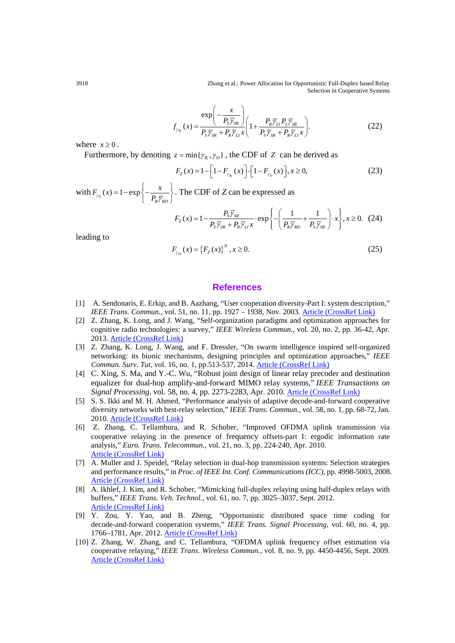3918 Zhong et al.: Power Allocation for Opportunistic Full-Duplex based Relay Selection in Cooperative Systems

$$
f_{\gamma_{R_i}}(x) = \frac{\exp\left(-\frac{x}{P_{S}\overline{\gamma}_{SR}}\right)}{P_{S}\overline{\gamma}_{SR} + P_{R}\overline{\gamma}_{LI}x}\left(1 + \frac{P_{R}\overline{\gamma}_{LI}P_{S}\overline{\gamma}_{SR}}{P_{S}\overline{\gamma}_{SR} + P_{R}\overline{\gamma}_{LI}x}\right).
$$
(22)

where  $x \geq 0$ .

Furthermore, by denoting  $z = min{\gamma_R, \gamma_D}$ , the CDF of *Z* can be derived as

$$
F_{Z}(x) = 1 - \left[1 - F_{\gamma_{R_i}}(x)\right] \cdot \left[1 - F_{\gamma_{D}}(x)\right], x \ge 0,
$$
\n(23)

with  $F_{\gamma_D}(x) = 1 - \exp\left\{-\frac{x}{P_R \overline{\gamma}_{RD}}\right\}$  $F_{\gamma_D}(x) = 1 - \exp\left\{-\frac{x}{P_R \overline{\gamma}_{RD}}\right\}$ . The CDF of *Z* can be expressed as

$$
F_Z(x) = 1 - \frac{P_S \overline{\gamma}_{SR}}{P_S \overline{\gamma}_{SR} + P_R \overline{\gamma}_{LI} x} \cdot \exp\left\{-\left(\frac{1}{P_R \overline{\gamma}_{RD}} + \frac{1}{P_S \overline{\gamma}_{SR}}\right) \cdot x\right\}, x \ge 0. \quad (24)
$$

leading to

$$
F_{\gamma_{eq}}(x) = \{F_Z(x)\}^N, x \ge 0.
$$
\n(25)

### **References**

- [1] A. Sendonaris, E. Erkip, and B. Aazhang, "User cooperation diversity-Part I: system description," *IEEE Trans. Commun.*, vol. 51, no. 11, pp. 1927 - 1938, Nov. 2003. **[Article \(CrossRef Link\)](http://dx.doi.org/doi:10.1109/TCOMM.2003.818096)**
- [2] Z. Zhang, K. Long, and J. Wang, "Self-organization paradigms and optimization approaches for cognitive radio technologies: a survey," *IEEE Wireless Commun.*, vol. 20, no. 2, pp. 36-42, Apr. 2013. [Article \(CrossRef Link\)](http://dx.doi.org/doi:10.1109/MWC.2013.6507392)
- [3] Z. Zhang, K. Long, J. Wang, and F. Dressler, "On swarm intelligence inspired self-organized networking: its bionic mechanisms, designing principles and optimization approaches," *IEEE Commun. Surv. Tut,* vol. 16, no. 1, pp.513-537, 2014. [Article \(CrossRef Link\)](http://dx.doi.org/doi:10.1109/SURV.2013.062613.00014)
- [4] C. Xing, S. Ma, and Y.-C. Wu, "Robust joint design of linear relay precoder and destination equalizer for dual-hop amplify-and-forward MIMO relay systems," *IEEE Transactions on Signal Processing*, vol. 58, no. 4, pp. 2273-2283, Apr. 2010. [Article \(CrossRef Link\)](http://dx.doi.org/doi:10.1109/TSP.2009.2038961)
- [5] S. S. Ikki and M. H. Ahmed, "Performance analysis of adaptive decode-and-forward cooperative diversity networks with best-relay selection," *IEEE Trans. Commun.*, vol. 58, no. 1, pp. 68-72, Jan. 2010. [Article \(CrossRef Link\)](http://dx.doi.org/doi:10.1109/TCOMM.2010.01.080080)
- [6] Z. Zhang, C. Tellambura, and R. Schober, "Improved OFDMA uplink transmission via cooperative relaying in the presence of frequency offsets-part I: ergodic information rate analysis," *Euro. Trans. Telecommun.*, vol. 21, no. 3, pp. 224-240, Apr. 2010. [Article \(CrossRef Link\)](http://dx.doi.org/doi:10.1002/ett.1384)
- [7] A. Muller and J. Speidel, "Relay selection in dual-hop transmission systems: Selection strategies and performance results," in *Proc. of IEEE Int. Conf. Communications (ICC)*, pp. 4998-5003, 2008. [Article \(CrossRef Link\)](http://dx.doi.org/doi:10.1109/ICC.2008.937)
- [8] A. Ikhlef, J. Kim, and R. Schober, "Mimicking full-duplex relaying using half-duplex relays with buffers," *IEEE Trans. Veh. Technol.*, vol. 61, no. 7, pp. 3025–3037, Sept. 2012. [Article \(CrossRef Link\)](http://dx.doi.org/doi:10.1109/TVT.2012.2201189)
- [9] Y. Zou, Y. Yao, and B. Zheng, "Opportunistic distributed space time coding for decode-and-forward cooperation systems," *IEEE Trans. Signal Processing*, vol. 60, no. 4, pp. 1766–1781, Apr. 2012. [Article \(CrossRef Link\)](http://dx.doi.org/doi:10.1109/TSP.2011.2181503)
- [10] Z. Zhang, W. Zhang, and C. Tellambura, "OFDMA uplink frequency offset estimation via cooperative relaying," *IEEE Trans. Wireless Commun.*, vol. 8, no. 9, pp. 4450-4456, Sept. 2009. [Article \(CrossRef Link\)](http://dx.doi.org/doi:10.1109/TWC.2009.081525)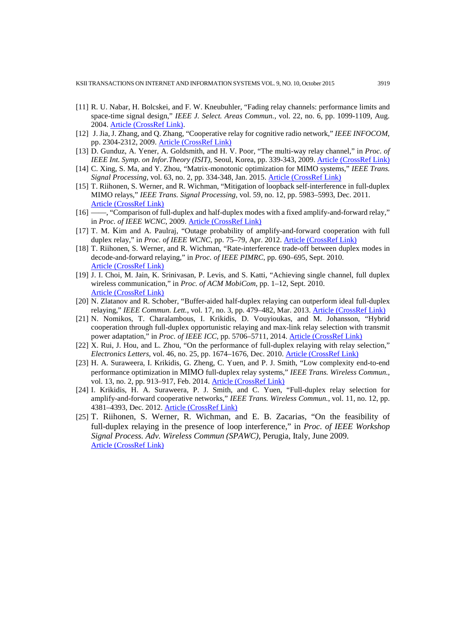- [11] R. U. Nabar, H. Bolcskei, and F. W. Kneubuhler, "Fading relay channels: performance limits and space-time signal design," *IEEE J. Select. Areas Commun.*, vol. 22, no. 6, pp. 1099-1109, Aug. 2004. [Article \(CrossRef Link\).](http://dx.doi.org/doi:10.1109/JSAC.2004.830922)
- [12] J. Jia, J. Zhang, and Q. Zhang, "Cooperative relay for cognitive radio network," *IEEE INFOCOM*, pp. 2304-2312, 2009. [Article \(CrossRef Link\)](http://dx.doi.org/doi:10.1109/INFCOM.2009.5062156)
- [13] D. Gunduz, A. Yener, A. Goldsmith, and H. V. Poor, "The multi-way relay channel," in *Proc. of IEEE Int. Symp. on Infor.Theory (ISIT)*, Seoul, Korea, pp. 339-343, 2009. [Article \(CrossRef Link\)](http://dx.doi.org/doi:10.1109/ISIT.2009.5205634)
- [14] C. Xing, S. Ma, and Y. Zhou, "Matrix-monotonic optimization for MIMO systems," *IEEE Trans. Signal Processing*, vol. 63, no. 2, pp. 334-348, Jan. 2015. [Article \(CrossRef Link\)](http://dx.doi.org/doi:10.1109/TSP.2014.2373332)
- [15] T. Riihonen, S. Werner, and R. Wichman, "Mitigation of loopback self-interference in full-duplex MIMO relays," *IEEE Trans. Signal Processing,* vol. 59, no. 12, pp. 5983–5993, Dec. 2011. [Article \(CrossRef Link\)](http://dx.doi.org/doi:10.1109/TSP.2011.2164910)
- [16] ——, "Comparison of full-duplex and half-duplex modes with a fixed amplify-and-forward relay," in *Proc. of IEEE WCNC*, 2009. [Article \(CrossRef Link\)](http://dx.doi.org/doi:10.1109/WCNC.2009.4917634)
- [17] T. M. Kim and A. Paulraj, "Outage probability of amplify-and-forward cooperation with full duplex relay," in *Proc. of IEEE WCNC*, pp. 75–79, Apr. 2012. **[Article \(CrossRef Link\)](http://dx.doi.org/doi:10.1109/WCNC.2012.6214473)**
- [18] T. Riihonen, S. Werner, and R. Wichman, "Rate-interference trade-off between duplex modes in decode-and-forward relaying," in *Proc. of IEEE PIMRC*, pp. 690–695, Sept. 2010. [Article \(CrossRef Link\)](http://dx.doi.org/doi:10.1109/PIMRC.2010.5671648)
- [19] J. I. Choi, M. Jain, K. Srinivasan, P. Levis, and S. Katti, "Achieving single channel, full duplex wireless communication," in *Proc. of ACM MobiCom*, pp. 1–12, Sept. 2010. [Article \(CrossRef Link\)](http://sing.stanford.edu/pubs/mobicom10-duplex.pdf)
- [20] N. Zlatanov and R. Schober, "Buffer-aided half-duplex relaying can outperform ideal full-duplex relaying," *IEEE Commun. Lett.*, vol. 17, no. 3, pp. 479–482, Mar. 2013. [Article \(CrossRef Link\)](http://dx.doi.org/doi:10.1109/LCOMM.2013.012213.122331)
- [21] N. Nomikos, T. Charalambous, I. Krikidis, D. Vouyioukas, and M. Johansson, "Hybrid cooperation through full-duplex opportunistic relaying and max-link relay selection with transmit power adaptation," in *Proc. of IEEE ICC*, pp. 5706–5711, 2014. [Article \(CrossRef Link\)](http://dx.doi.org/doi:10.1109/ICC.2014.6884231)
- [22] X. Rui, J. Hou, and L. Zhou, "On the performance of full-duplex relaying with relay selection," *Electronics Letters*, vol. 46, no. 25, pp. 1674–1676, Dec. 2010. [Article \(CrossRef Link\)](http://dx.doi.org/doi:10.1049/el.2010.2750)
- [23] H. A. Suraweera, I. Krikidis, G. Zheng, C. Yuen, and P. J. Smith, "Low complexity end-to-end performance optimization in MIMO full-duplex relay systems," *IEEE Trans. Wireless Commun.*, vol. 13, no. 2, pp. 913–917, Feb. 2014. [Article \(CrossRef Link\)](http://dx.doi.org/doi:10.1109/TWC.2013.122313.130608)
- [24] I. Krikidis, H. A. Suraweera, P. J. Smith, and C. Yuen, "Full-duplex relay selection for amplify-and-forward cooperative networks," *IEEE Trans. Wireless Commun.*, vol. 11, no. 12, pp. 4381–4393, Dec. 2012. [Article \(CrossRef Link\)](http://dx.doi.org/doi:10.1109/TWC.2012.101912.111944)
- [25] T. Riihonen, S. Werner, R. Wichman, and E. B. Zacarias, "On the feasibility of full-duplex relaying in the presence of loop interference," in *Proc. of IEEE Workshop Signal Process. Adv. Wireless Commun (SPAWC),* Perugia, Italy, June 2009. [Article \(CrossRef Link\)](http://dx.doi.org/doi:10.1109/SPAWC.2009.5161790)